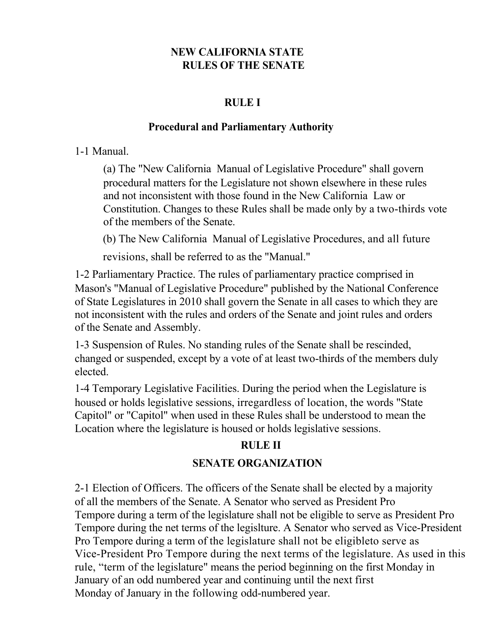## **NEW CALIFORNIA STATE RULES OF THE SENATE**

#### **RULE I**

#### **Procedural and Parliamentary Authority**

#### 1-1 Manual.

(a) The "New California Manual of Legislative Procedure" shall govern procedural matters for the Legislature not shown elsewhere in these rules and not inconsistent with those found in the New California Law or Constitution. Changes to these Rules shall be made only by a two-thirds vote of the members of the Senate.

(b) The New California Manual of Legislative Procedures, and all future

revisions, shall be referred to as the "Manual."

1-2 Parliamentary Practice. The rules of parliamentary practice comprised in Mason's "Manual of Legislative Procedure" published by the National Conference of State Legislatures in 2010 shall govern the Senate in all cases to which they are not inconsistent with the rules and orders of the Senate and joint rules and orders of the Senate and Assembly.

1-3 Suspension of Rules. No standing rules of the Senate shall be rescinded, changed or suspended, except by a vote of at least two-thirds of the members duly elected.

1-4 Temporary Legislative Facilities. During the period when the Legislature is housed or holds legislative sessions, irregardless of location, the words "State Capitol" or "Capitol" when used in these Rules shall be understood to mean the Location where the legislature is housed or holds legislative sessions.

## **RULE II**

## **SENATE ORGANIZATION**

2-1 Election of Officers. The officers of the Senate shall be elected by a majority of all the members of the Senate. A Senator who served as President Pro Tempore during a term of the legislature shall not be eligible to serve as President Pro Tempore during the net terms of the legislture. A Senator who served as Vice-President Pro Tempore during a term of the legislature shall not be eligibleto serve as Vice-President Pro Tempore during the next terms of the legislature. As used in this rule, "term of the legislature" means the period beginning on the first Monday in January of an odd numbered year and continuing until the next first Monday of January in the following odd-numbered year.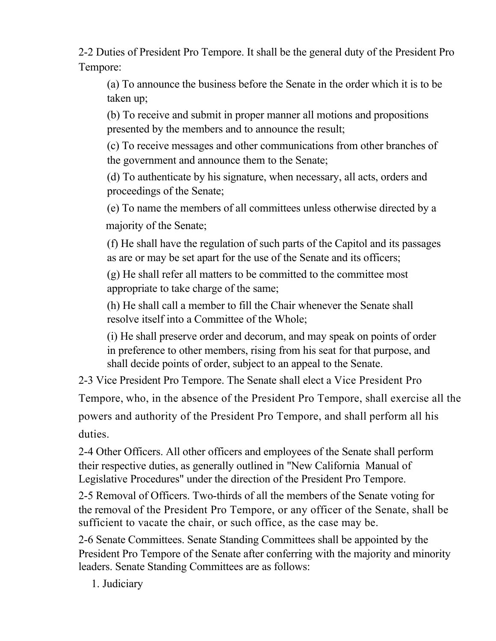2-2 Duties of President Pro Tempore. It shall be the general duty of the President Pro Tempore:

(a) To announce the business before the Senate in the order which it is to be taken up;

(b) To receive and submit in proper manner all motions and propositions presented by the members and to announce the result;

(c) To receive messages and other communications from other branches of the government and announce them to the Senate;

(d) To authenticate by his signature, when necessary, all acts, orders and proceedings of the Senate;

(e) To name the members of all committees unless otherwise directed by a majority of the Senate;

(f) He shall have the regulation of such parts of the Capitol and its passages as are or may be set apart for the use of the Senate and its officers;

(g) He shall refer all matters to be committed to the committee most appropriate to take charge of the same;

(h) He shall call a member to fill the Chair whenever the Senate shall resolve itself into a Committee of the Whole;

(i) He shall preserve order and decorum, and may speak on points of order in preference to other members, rising from his seat for that purpose, and shall decide points of order, subject to an appeal to the Senate.

2-3 Vice President Pro Tempore. The Senate shall elect a Vice President Pro

Tempore, who, in the absence of the President Pro Tempore, shall exercise all the

powers and authority of the President Pro Tempore, and shall perform all his duties.

2-4 Other Officers. All other officers and employees of the Senate shall perform their respective duties, as generally outlined in "New California Manual of Legislative Procedures" under the direction of the President Pro Tempore.

2-5 Removal of Officers. Two-thirds of all the members of the Senate voting for the removal of the President Pro Tempore, or any officer of the Senate, shall be sufficient to vacate the chair, or such office, as the case may be.

2-6 Senate Committees. Senate Standing Committees shall be appointed by the President Pro Tempore of the Senate after conferring with the majority and minority leaders. Senate Standing Committees are as follows:

1. Judiciary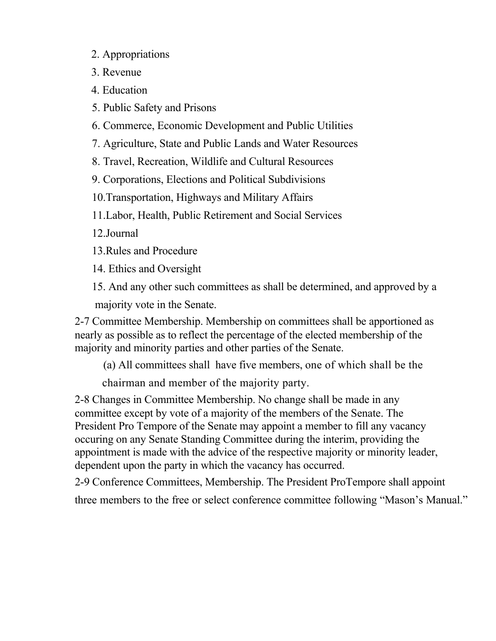- 2. Appropriations
- 3. Revenue
- 4. Education
- 5. Public Safety and Prisons
- 6. Commerce, Economic Development and Public Utilities
- 7. Agriculture, State and Public Lands and Water Resources
- 8. Travel, Recreation, Wildlife and Cultural Resources
- 9. Corporations, Elections and Political Subdivisions
- 10.Transportation, Highways and Military Affairs
- 11.Labor, Health, Public Retirement and Social Services
- 12.Journal
- 13.Rules and Procedure
- 14. Ethics and Oversight
- 15. And any other such committees as shall be determined, and approved by a majority vote in the Senate.

2-7 Committee Membership. Membership on committees shall be apportioned as nearly as possible as to reflect the percentage of the elected membership of the majority and minority parties and other parties of the Senate.

(a) All committees shall have five members, one of which shall be the

chairman and member of the majority party.

2-8 Changes in Committee Membership. No change shall be made in any committee except by vote of a majority of the members of the Senate. The President Pro Tempore of the Senate may appoint a member to fill any vacancy occuring on any Senate Standing Committee during the interim, providing the appointment is made with the advice of the respective majority or minority leader, dependent upon the party in which the vacancy has occurred.

2-9 Conference Committees, Membership. The President ProTempore shall appoint three members to the free or select conference committee following "Mason's Manual."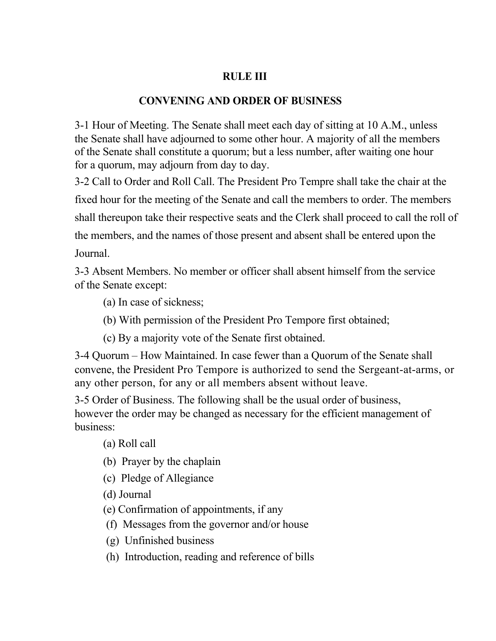## **RULE III**

#### **CONVENING AND ORDER OF BUSINESS**

3-1 Hour of Meeting. The Senate shall meet each day of sitting at 10 A.M., unless the Senate shall have adjourned to some other hour. A majority of all the members of the Senate shall constitute a quorum; but a less number, after waiting one hour for a quorum, may adjourn from day to day.

3-2 Call to Order and Roll Call. The President Pro Tempre shall take the chair at the fixed hour for the meeting of the Senate and call the members to order. The members shall thereupon take their respective seats and the Clerk shall proceed to call the roll of the members, and the names of those present and absent shall be entered upon the Journal.

3-3 Absent Members. No member or officer shall absent himself from the service of the Senate except:

- (a) In case of sickness;
- (b) With permission of the President Pro Tempore first obtained;
- (c) By a majority vote of the Senate first obtained.

3-4 Quorum – How Maintained. In case fewer than a Quorum of the Senate shall convene, the President Pro Tempore is authorized to send the Sergeant-at-arms, or any other person, for any or all members absent without leave.

3-5 Order of Business. The following shall be the usual order of business, however the order may be changed as necessary for the efficient management of business:

(a) Roll call

- (b) Prayer by the chaplain
- (c) Pledge of Allegiance
- (d) Journal
- (e) Confirmation of appointments, if any
- (f) Messages from the governor and/or house
- (g) Unfinished business
- (h) Introduction, reading and reference of bills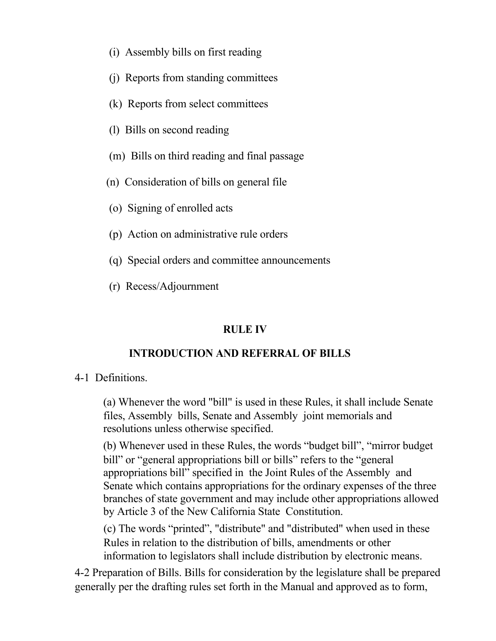- (i) Assembly bills on first reading
- (j) Reports from standing committees
- (k) Reports from select committees
- (l) Bills on second reading
- (m) Bills on third reading and final passage
- (n) Consideration of bills on general file
- (o) Signing of enrolled acts
- (p) Action on administrative rule orders
- (q) Special orders and committee announcements
- (r) Recess/Adjournment

# **RULE IV**

# **INTRODUCTION AND REFERRAL OF BILLS**

# 4-1 Definitions.

(a) Whenever the word "bill" is used in these Rules, it shall include Senate files, Assembly bills, Senate and Assembly joint memorials and resolutions unless otherwise specified.

(b) Whenever used in these Rules, the words "budget bill", "mirror budget bill" or "general appropriations bill or bills" refers to the "general" appropriations bill" specified in the Joint Rules of the Assembly and Senate which contains appropriations for the ordinary expenses of the three branches of state government and may include other appropriations allowed by Article 3 of the New California State Constitution.

(c) The words "printed", "distribute" and "distributed" when used in these Rules in relation to the distribution of bills, amendments or other information to legislators shall include distribution by electronic means.

4-2 Preparation of Bills. Bills for consideration by the legislature shall be prepared generally per the drafting rules set forth in the Manual and approved as to form,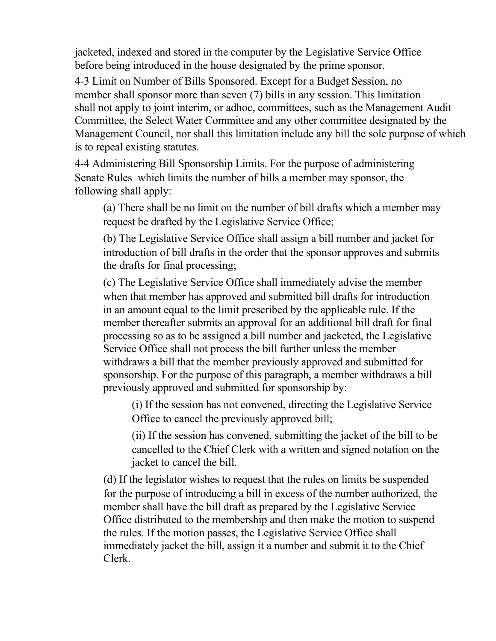jacketed, indexed and stored in the computer by the Legislative Service Office before being introduced in the house designated by the prime sponsor.

4-3 Limit on Number of Bills Sponsored. Except for a Budget Session, no member shall sponsor more than seven (7) bills in any session. This limitation shall not apply to joint interim, or adhoc, committees, such as the Management Audit Committee, the Select Water Committee and any other committee designated by the Management Council, nor shall this limitation include any bill the sole purpose of which is to repeal existing statutes.

4-4 Administering Bill Sponsorship Limits. For the purpose of administering Senate Rules which limits the number of bills a member may sponsor, the following shall apply:

(a) There shall be no limit on the number of bill drafts which a member may request be drafted by the Legislative Service Office;

(b) The Legislative Service Office shall assign a bill number and jacket for introduction of bill drafts in the order that the sponsor approves and submits the drafts for final processing;

(c) The Legislative Service Office shall immediately advise the member when that member has approved and submitted bill drafts for introduction in an amount equal to the limit prescribed by the applicable rule. If the member thereafter submits an approval for an additional bill draft for final processing so as to be assigned a bill number and jacketed, the Legislative Service Office shall not process the bill further unless the member withdraws a bill that the member previously approved and submitted for sponsorship. For the purpose of this paragraph, a member withdraws a bill previously approved and submitted for sponsorship by:

(i) If the session has not convened, directing the Legislative Service Office to cancel the previously approved bill;

(ii) If the session has convened, submitting the jacket of the bill to be cancelled to the Chief Clerk with a written and signed notation on the jacket to cancel the bill.

(d) If the legislator wishes to request that the rules on limits be suspended for the purpose of introducing a bill in excess of the number authorized, the member shall have the bill draft as prepared by the Legislative Service Office distributed to the membership and then make the motion to suspend the rules. If the motion passes, the Legislative Service Office shall immediately jacket the bill, assign it a number and submit it to the Chief Clerk.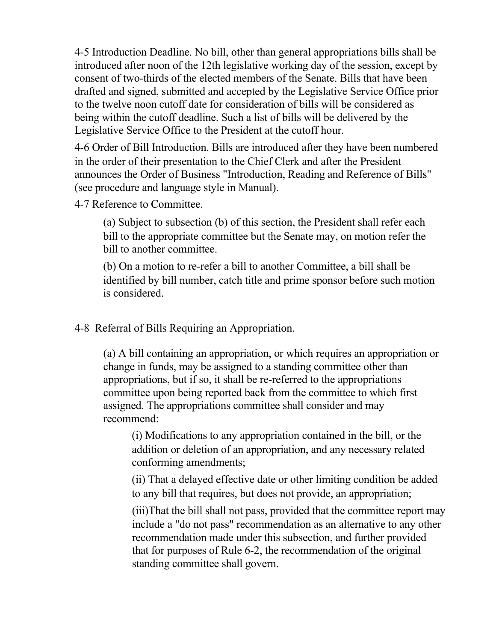4-5 Introduction Deadline. No bill, other than general appropriations bills shall be introduced after noon of the 12th legislative working day of the session, except by consent of two-thirds of the elected members of the Senate. Bills that have been drafted and signed, submitted and accepted by the Legislative Service Office prior to the twelve noon cutoff date for consideration of bills will be considered as being within the cutoff deadline. Such a list of bills will be delivered by the Legislative Service Office to the President at the cutoff hour.

4-6 Order of Bill Introduction. Bills are introduced after they have been numbered in the order of their presentation to the Chief Clerk and after the President announces the Order of Business "Introduction, Reading and Reference of Bills" (see procedure and language style in Manual).

4-7 Reference to Committee.

(a) Subject to subsection (b) of this section, the President shall refer each bill to the appropriate committee but the Senate may, on motion refer the bill to another committee.

(b) On a motion to re-refer a bill to another Committee, a bill shall be identified by bill number, catch title and prime sponsor before such motion is considered.

4-8 Referral of Bills Requiring an Appropriation.

(a) A bill containing an appropriation, or which requires an appropriation or change in funds, may be assigned to a standing committee other than appropriations, but if so, it shall be re-referred to the appropriations committee upon being reported back from the committee to which first assigned. The appropriations committee shall consider and may recommend:

(i) Modifications to any appropriation contained in the bill, or the addition or deletion of an appropriation, and any necessary related conforming amendments;

(ii) That a delayed effective date or other limiting condition be added to any bill that requires, but does not provide, an appropriation;

(iii)That the bill shall not pass, provided that the committee report may include a "do not pass" recommendation as an alternative to any other recommendation made under this subsection, and further provided that for purposes of Rule 6-2, the recommendation of the original standing committee shall govern.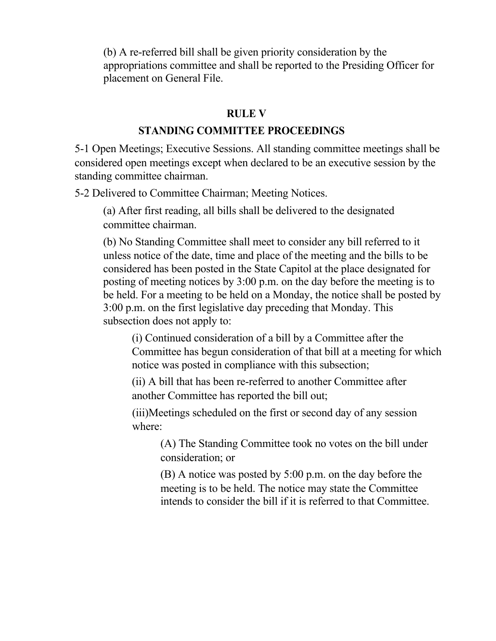(b) A re-referred bill shall be given priority consideration by the appropriations committee and shall be reported to the Presiding Officer for placement on General File.

#### **RULE V**

#### **STANDING COMMITTEE PROCEEDINGS**

5-1 Open Meetings; Executive Sessions. All standing committee meetings shall be considered open meetings except when declared to be an executive session by the standing committee chairman.

5-2 Delivered to Committee Chairman; Meeting Notices.

(a) After first reading, all bills shall be delivered to the designated committee chairman.

(b) No Standing Committee shall meet to consider any bill referred to it unless notice of the date, time and place of the meeting and the bills to be considered has been posted in the State Capitol at the place designated for posting of meeting notices by 3:00 p.m. on the day before the meeting is to be held. For a meeting to be held on a Monday, the notice shall be posted by 3:00 p.m. on the first legislative day preceding that Monday. This subsection does not apply to:

(i) Continued consideration of a bill by a Committee after the Committee has begun consideration of that bill at a meeting for which notice was posted in compliance with this subsection;

(ii) A bill that has been re-referred to another Committee after another Committee has reported the bill out;

(iii)Meetings scheduled on the first or second day of any session where:

(A) The Standing Committee took no votes on the bill under consideration; or

(B) A notice was posted by 5:00 p.m. on the day before the meeting is to be held. The notice may state the Committee intends to consider the bill if it is referred to that Committee.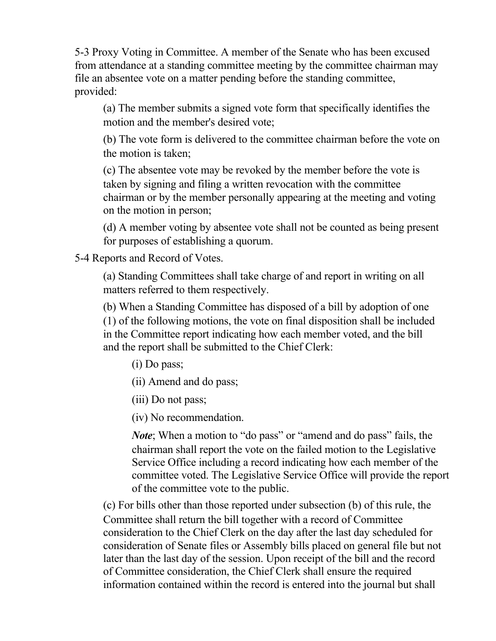5-3 Proxy Voting in Committee. A member of the Senate who has been excused from attendance at a standing committee meeting by the committee chairman may file an absentee vote on a matter pending before the standing committee, provided:

(a) The member submits a signed vote form that specifically identifies the motion and the member's desired vote;

(b) The vote form is delivered to the committee chairman before the vote on the motion is taken;

(c) The absentee vote may be revoked by the member before the vote is taken by signing and filing a written revocation with the committee chairman or by the member personally appearing at the meeting and voting on the motion in person;

(d) A member voting by absentee vote shall not be counted as being present for purposes of establishing a quorum.

5-4 Reports and Record of Votes.

(a) Standing Committees shall take charge of and report in writing on all matters referred to them respectively.

(b) When a Standing Committee has disposed of a bill by adoption of one (1) of the following motions, the vote on final disposition shall be included in the Committee report indicating how each member voted, and the bill and the report shall be submitted to the Chief Clerk:

(i) Do pass;

(ii) Amend and do pass;

(iii) Do not pass;

(iv) No recommendation.

*Note*; When a motion to "do pass" or "amend and do pass" fails, the chairman shall report the vote on the failed motion to the Legislative Service Office including a record indicating how each member of the committee voted. The Legislative Service Office will provide the report of the committee vote to the public.

(c) For bills other than those reported under subsection (b) of this rule, the Committee shall return the bill together with a record of Committee consideration to the Chief Clerk on the day after the last day scheduled for consideration of Senate files or Assembly bills placed on general file but not later than the last day of the session. Upon receipt of the bill and the record of Committee consideration, the Chief Clerk shall ensure the required information contained within the record is entered into the journal but shall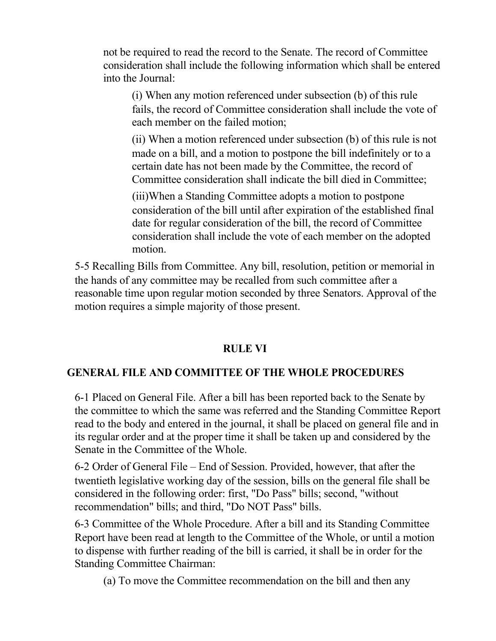not be required to read the record to the Senate. The record of Committee consideration shall include the following information which shall be entered into the Journal:

(i) When any motion referenced under subsection (b) of this rule fails, the record of Committee consideration shall include the vote of each member on the failed motion;

(ii) When a motion referenced under subsection (b) of this rule is not made on a bill, and a motion to postpone the bill indefinitely or to a certain date has not been made by the Committee, the record of Committee consideration shall indicate the bill died in Committee;

(iii)When a Standing Committee adopts a motion to postpone consideration of the bill until after expiration of the established final date for regular consideration of the bill, the record of Committee consideration shall include the vote of each member on the adopted motion.

5-5 Recalling Bills from Committee. Any bill, resolution, petition or memorial in the hands of any committee may be recalled from such committee after a reasonable time upon regular motion seconded by three Senators. Approval of the motion requires a simple majority of those present.

## **RULE VI**

## **GENERAL FILE AND COMMITTEE OF THE WHOLE PROCEDURES**

6-1 Placed on General File. After a bill has been reported back to the Senate by the committee to which the same was referred and the Standing Committee Report read to the body and entered in the journal, it shall be placed on general file and in its regular order and at the proper time it shall be taken up and considered by the Senate in the Committee of the Whole.

6-2 Order of General File – End of Session. Provided, however, that after the twentieth legislative working day of the session, bills on the general file shall be considered in the following order: first, "Do Pass" bills; second, "without recommendation" bills; and third, "Do NOT Pass" bills.

6-3 Committee of the Whole Procedure. After a bill and its Standing Committee Report have been read at length to the Committee of the Whole, or until a motion to dispense with further reading of the bill is carried, it shall be in order for the Standing Committee Chairman:

(a) To move the Committee recommendation on the bill and then any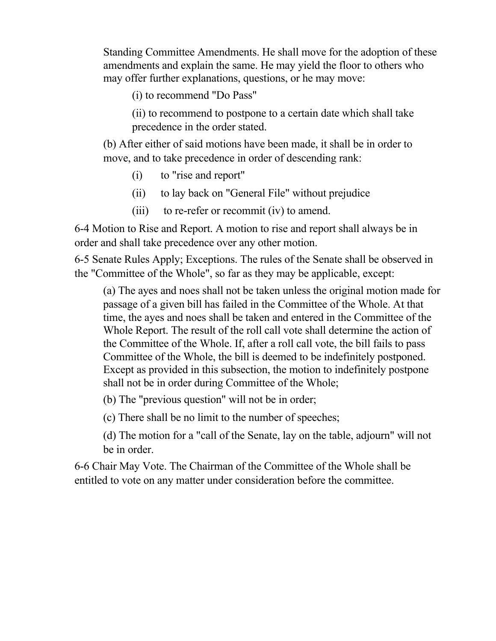Standing Committee Amendments. He shall move for the adoption of these amendments and explain the same. He may yield the floor to others who may offer further explanations, questions, or he may move:

(i) to recommend "Do Pass"

(ii) to recommend to postpone to a certain date which shall take precedence in the order stated.

(b) After either of said motions have been made, it shall be in order to move, and to take precedence in order of descending rank:

- (i) to "rise and report"
- (ii) to lay back on "General File" without prejudice
- (iii) to re-refer or recommit (iv) to amend.

6-4 Motion to Rise and Report. A motion to rise and report shall always be in order and shall take precedence over any other motion.

6-5 Senate Rules Apply; Exceptions. The rules of the Senate shall be observed in the "Committee of the Whole", so far as they may be applicable, except:

(a) The ayes and noes shall not be taken unless the original motion made for passage of a given bill has failed in the Committee of the Whole. At that time, the ayes and noes shall be taken and entered in the Committee of the Whole Report. The result of the roll call vote shall determine the action of the Committee of the Whole. If, after a roll call vote, the bill fails to pass Committee of the Whole, the bill is deemed to be indefinitely postponed. Except as provided in this subsection, the motion to indefinitely postpone shall not be in order during Committee of the Whole;

(b) The "previous question" will not be in order;

(c) There shall be no limit to the number of speeches;

(d) The motion for a "call of the Senate, lay on the table, adjourn" will not be in order.

6-6 Chair May Vote. The Chairman of the Committee of the Whole shall be entitled to vote on any matter under consideration before the committee.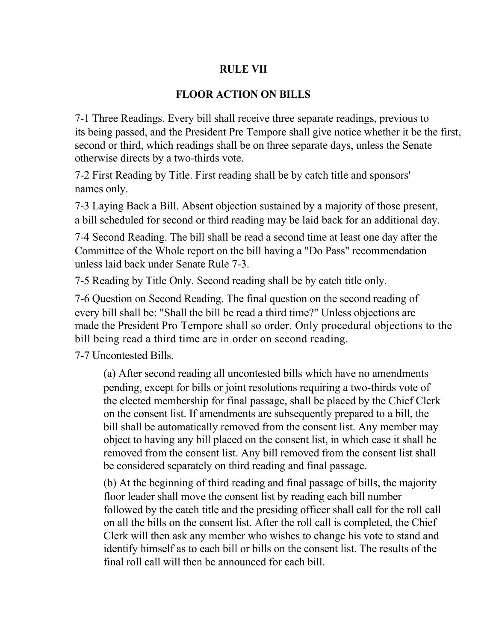#### **RULE VII**

#### **FLOOR ACTION ON BILLS**

7-1 Three Readings. Every bill shall receive three separate readings, previous to its being passed, and the President Pre Tempore shall give notice whether it be the first, second or third, which readings shall be on three separate days, unless the Senate otherwise directs by a two-thirds vote.

7-2 First Reading by Title. First reading shall be by catch title and sponsors' names only.

7-3 Laying Back a Bill. Absent objection sustained by a majority of those present, a bill scheduled for second or third reading may be laid back for an additional day.

7-4 Second Reading. The bill shall be read a second time at least one day after the Committee of the Whole report on the bill having a "Do Pass" recommendation unless laid back under Senate Rule 7-3.

7-5 Reading by Title Only. Second reading shall be by catch title only.

7-6 Question on Second Reading. The final question on the second reading of every bill shall be: "Shall the bill be read a third time?" Unless objections are made the President Pro Tempore shall so order. Only procedural objections to the bill being read a third time are in order on second reading.

7-7 Uncontested Bills.

(a) After second reading all uncontested bills which have no amendments pending, except for bills or joint resolutions requiring a two-thirds vote of the elected membership for final passage, shall be placed by the Chief Clerk on the consent list. If amendments are subsequently prepared to a bill, the bill shall be automatically removed from the consent list. Any member may object to having any bill placed on the consent list, in which case it shall be removed from the consent list. Any bill removed from the consent list shall be considered separately on third reading and final passage.

(b) At the beginning of third reading and final passage of bills, the majority floor leader shall move the consent list by reading each bill number followed by the catch title and the presiding officer shall call for the roll call on all the bills on the consent list. After the roll call is completed, the Chief Clerk will then ask any member who wishes to change his vote to stand and identify himself as to each bill or bills on the consent list. The results of the final roll call will then be announced for each bill.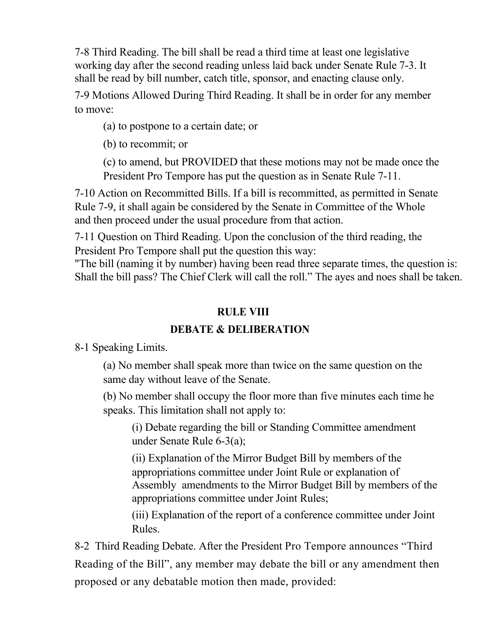7-8 Third Reading. The bill shall be read a third time at least one legislative working day after the second reading unless laid back under Senate Rule 7-3. It shall be read by bill number, catch title, sponsor, and enacting clause only.

7-9 Motions Allowed During Third Reading. It shall be in order for any member to move:

(a) to postpone to a certain date; or

(b) to recommit; or

(c) to amend, but PROVIDED that these motions may not be made once the President Pro Tempore has put the question as in Senate Rule 7-11.

7-10 Action on Recommitted Bills. If a bill is recommitted, as permitted in Senate Rule 7-9, it shall again be considered by the Senate in Committee of the Whole and then proceed under the usual procedure from that action.

7-11 Question on Third Reading. Upon the conclusion of the third reading, the President Pro Tempore shall put the question this way:

"The bill (naming it by number) having been read three separate times, the question is: Shall the bill pass? The Chief Clerk will call the roll." The ayes and noes shall be taken.

## **RULE VIII**

# **DEBATE & DELIBERATION**

8-1 Speaking Limits.

(a) No member shall speak more than twice on the same question on the same day without leave of the Senate.

(b) No member shall occupy the floor more than five minutes each time he speaks. This limitation shall not apply to:

(i) Debate regarding the bill or Standing Committee amendment under Senate Rule 6-3(a);

(ii) Explanation of the Mirror Budget Bill by members of the appropriations committee under Joint Rule or explanation of Assembly amendments to the Mirror Budget Bill by members of the appropriations committee under Joint Rules;

(iii) Explanation of the report of a conference committee under Joint Rules.

8-2 Third Reading Debate. After the President Pro Tempore announces "Third Reading of the Bill", any member may debate the bill or any amendment then proposed or any debatable motion then made, provided: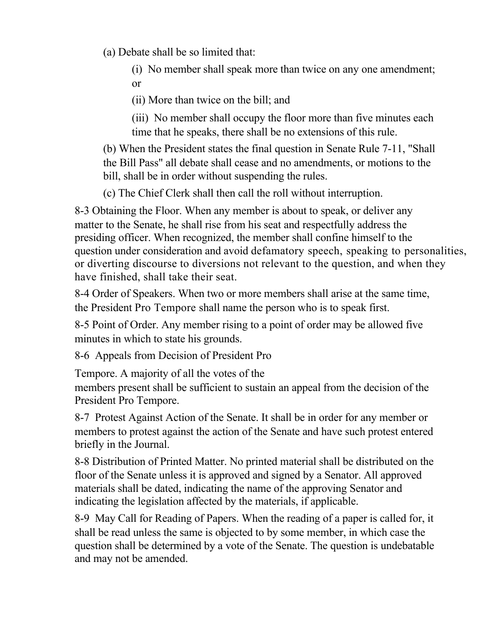(a) Debate shall be so limited that:

(i) No member shall speak more than twice on any one amendment; or

(ii) More than twice on the bill; and

(iii) No member shall occupy the floor more than five minutes each time that he speaks, there shall be no extensions of this rule.

(b) When the President states the final question in Senate Rule 7-11, "Shall the Bill Pass" all debate shall cease and no amendments, or motions to the bill, shall be in order without suspending the rules.

(c) The Chief Clerk shall then call the roll without interruption.

8-3 Obtaining the Floor. When any member is about to speak, or deliver any matter to the Senate, he shall rise from his seat and respectfully address the presiding officer. When recognized, the member shall confine himself to the question under consideration and avoid defamatory speech, speaking to personalities, or diverting discourse to diversions not relevant to the question, and when they have finished, shall take their seat.

8-4 Order of Speakers. When two or more members shall arise at the same time, the President Pro Tempore shall name the person who is to speak first.

8-5 Point of Order. Any member rising to a point of order may be allowed five minutes in which to state his grounds.

8-6 Appeals from Decision of President Pro

Tempore. A majority of all the votes of the

members present shall be sufficient to sustain an appeal from the decision of the President Pro Tempore.

8-7 Protest Against Action of the Senate. It shall be in order for any member or members to protest against the action of the Senate and have such protest entered briefly in the Journal.

8-8 Distribution of Printed Matter. No printed material shall be distributed on the floor of the Senate unless it is approved and signed by a Senator. All approved materials shall be dated, indicating the name of the approving Senator and indicating the legislation affected by the materials, if applicable.

8-9 May Call for Reading of Papers. When the reading of a paper is called for, it shall be read unless the same is objected to by some member, in which case the question shall be determined by a vote of the Senate. The question is undebatable and may not be amended.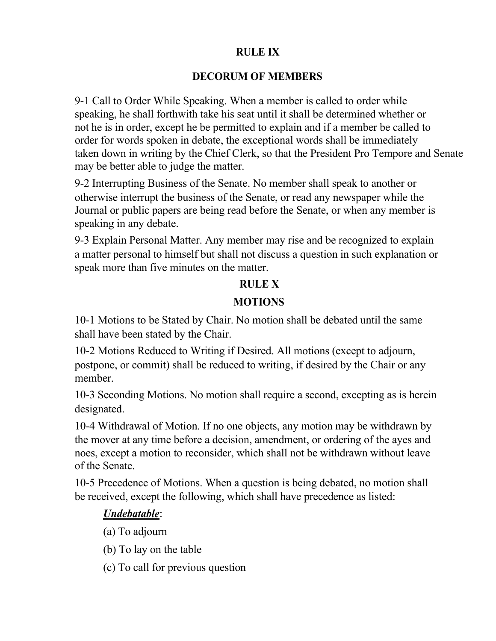## **RULE IX**

## **DECORUM OF MEMBERS**

9-1 Call to Order While Speaking. When a member is called to order while speaking, he shall forthwith take his seat until it shall be determined whether or not he is in order, except he be permitted to explain and if a member be called to order for words spoken in debate, the exceptional words shall be immediately taken down in writing by the Chief Clerk, so that the President Pro Tempore and Senate may be better able to judge the matter.

9-2 Interrupting Business of the Senate. No member shall speak to another or otherwise interrupt the business of the Senate, or read any newspaper while the Journal or public papers are being read before the Senate, or when any member is speaking in any debate.

9-3 Explain Personal Matter. Any member may rise and be recognized to explain a matter personal to himself but shall not discuss a question in such explanation or speak more than five minutes on the matter.

# **RULE X**

## **MOTIONS**

10-1 Motions to be Stated by Chair. No motion shall be debated until the same shall have been stated by the Chair.

10-2 Motions Reduced to Writing if Desired. All motions (except to adjourn, postpone, or commit) shall be reduced to writing, if desired by the Chair or any member.

10-3 Seconding Motions. No motion shall require a second, excepting as is herein designated.

10-4 Withdrawal of Motion. If no one objects, any motion may be withdrawn by the mover at any time before a decision, amendment, or ordering of the ayes and noes, except a motion to reconsider, which shall not be withdrawn without leave of the Senate.

10-5 Precedence of Motions. When a question is being debated, no motion shall be received, except the following, which shall have precedence as listed:

# *Undebatable*:

- (a) To adjourn
- (b) To lay on the table
- (c) To call for previous question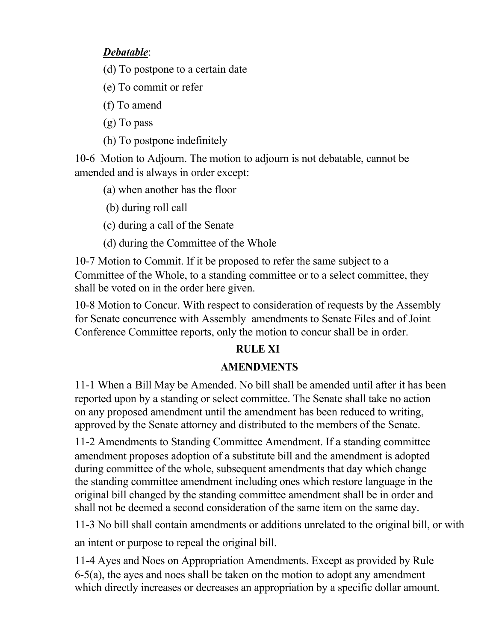# *Debatable*:

(d) To postpone to a certain date

(e) To commit or refer

(f) To amend

(g) To pass

(h) To postpone indefinitely

10-6 Motion to Adjourn. The motion to adjourn is not debatable, cannot be amended and is always in order except:

(a) when another has the floor

(b) during roll call

(c) during a call of the Senate

(d) during the Committee of the Whole

10-7 Motion to Commit. If it be proposed to refer the same subject to a Committee of the Whole, to a standing committee or to a select committee, they shall be voted on in the order here given.

10-8 Motion to Concur. With respect to consideration of requests by the Assembly for Senate concurrence with Assembly amendments to Senate Files and of Joint Conference Committee reports, only the motion to concur shall be in order.

# **RULE XI**

# **AMENDMENTS**

11-1 When a Bill May be Amended. No bill shall be amended until after it has been reported upon by a standing or select committee. The Senate shall take no action on any proposed amendment until the amendment has been reduced to writing, approved by the Senate attorney and distributed to the members of the Senate.

11-2 Amendments to Standing Committee Amendment. If a standing committee amendment proposes adoption of a substitute bill and the amendment is adopted during committee of the whole, subsequent amendments that day which change the standing committee amendment including ones which restore language in the original bill changed by the standing committee amendment shall be in order and shall not be deemed a second consideration of the same item on the same day.

11-3 No bill shall contain amendments or additions unrelated to the original bill, or with an intent or purpose to repeal the original bill.

11-4 Ayes and Noes on Appropriation Amendments. Except as provided by Rule 6-5(a), the ayes and noes shall be taken on the motion to adopt any amendment which directly increases or decreases an appropriation by a specific dollar amount.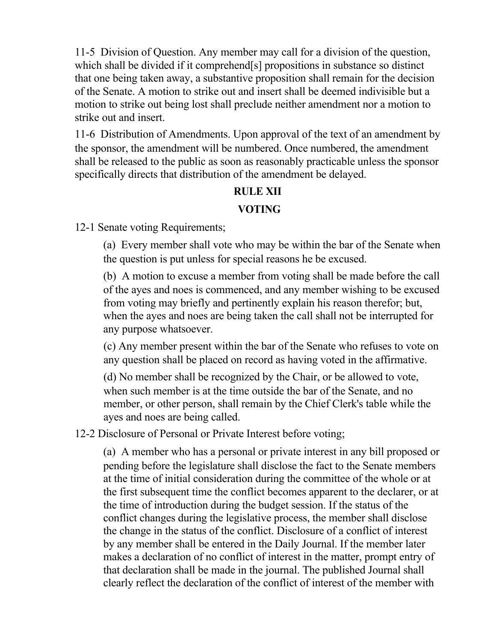11-5 Division of Question. Any member may call for a division of the question, which shall be divided if it comprehend[s] propositions in substance so distinct that one being taken away, a substantive proposition shall remain for the decision of the Senate. A motion to strike out and insert shall be deemed indivisible but a motion to strike out being lost shall preclude neither amendment nor a motion to strike out and insert.

11-6 Distribution of Amendments. Upon approval of the text of an amendment by the sponsor, the amendment will be numbered. Once numbered, the amendment shall be released to the public as soon as reasonably practicable unless the sponsor specifically directs that distribution of the amendment be delayed.

#### **RULE XII**

#### **VOTING**

12-1 Senate voting Requirements;

(a) Every member shall vote who may be within the bar of the Senate when the question is put unless for special reasons he be excused.

(b) A motion to excuse a member from voting shall be made before the call of the ayes and noes is commenced, and any member wishing to be excused from voting may briefly and pertinently explain his reason therefor; but, when the ayes and noes are being taken the call shall not be interrupted for any purpose whatsoever.

(c) Any member present within the bar of the Senate who refuses to vote on any question shall be placed on record as having voted in the affirmative.

(d) No member shall be recognized by the Chair, or be allowed to vote, when such member is at the time outside the bar of the Senate, and no member, or other person, shall remain by the Chief Clerk's table while the ayes and noes are being called.

12-2 Disclosure of Personal or Private Interest before voting;

(a) A member who has a personal or private interest in any bill proposed or pending before the legislature shall disclose the fact to the Senate members at the time of initial consideration during the committee of the whole or at the first subsequent time the conflict becomes apparent to the declarer, or at the time of introduction during the budget session. If the status of the conflict changes during the legislative process, the member shall disclose the change in the status of the conflict. Disclosure of a conflict of interest by any member shall be entered in the Daily Journal. If the member later makes a declaration of no conflict of interest in the matter, prompt entry of that declaration shall be made in the journal. The published Journal shall clearly reflect the declaration of the conflict of interest of the member with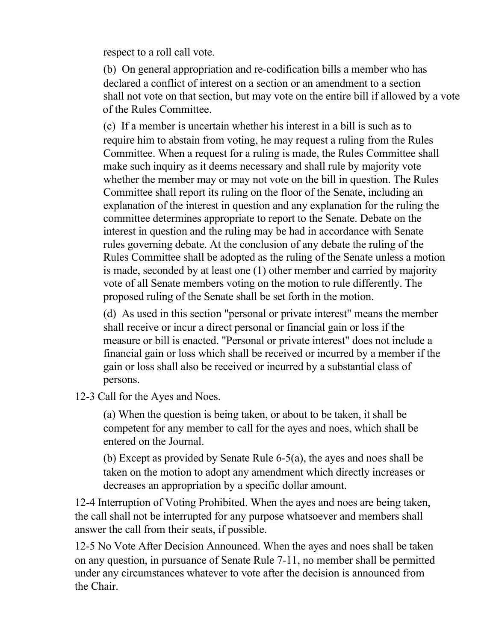respect to a roll call vote.

(b) On general appropriation and re-codification bills a member who has declared a conflict of interest on a section or an amendment to a section shall not vote on that section, but may vote on the entire bill if allowed by a vote of the Rules Committee.

(c) If a member is uncertain whether his interest in a bill is such as to require him to abstain from voting, he may request a ruling from the Rules Committee. When a request for a ruling is made, the Rules Committee shall make such inquiry as it deems necessary and shall rule by majority vote whether the member may or may not vote on the bill in question. The Rules Committee shall report its ruling on the floor of the Senate, including an explanation of the interest in question and any explanation for the ruling the committee determines appropriate to report to the Senate. Debate on the interest in question and the ruling may be had in accordance with Senate rules governing debate. At the conclusion of any debate the ruling of the Rules Committee shall be adopted as the ruling of the Senate unless a motion is made, seconded by at least one (1) other member and carried by majority vote of all Senate members voting on the motion to rule differently. The proposed ruling of the Senate shall be set forth in the motion.

(d) As used in this section "personal or private interest" means the member shall receive or incur a direct personal or financial gain or loss if the measure or bill is enacted. "Personal or private interest" does not include a financial gain or loss which shall be received or incurred by a member if the gain or loss shall also be received or incurred by a substantial class of persons.

12-3 Call for the Ayes and Noes.

(a) When the question is being taken, or about to be taken, it shall be competent for any member to call for the ayes and noes, which shall be entered on the Journal.

(b) Except as provided by Senate Rule 6-5(a), the ayes and noes shall be taken on the motion to adopt any amendment which directly increases or decreases an appropriation by a specific dollar amount.

12-4 Interruption of Voting Prohibited. When the ayes and noes are being taken, the call shall not be interrupted for any purpose whatsoever and members shall answer the call from their seats, if possible.

12-5 No Vote After Decision Announced. When the ayes and noes shall be taken on any question, in pursuance of Senate Rule 7-11, no member shall be permitted under any circumstances whatever to vote after the decision is announced from the Chair.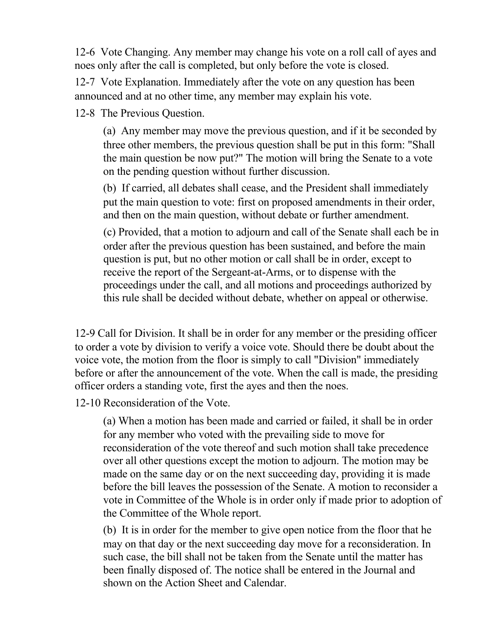12-6 Vote Changing. Any member may change his vote on a roll call of ayes and noes only after the call is completed, but only before the vote is closed.

12-7 Vote Explanation. Immediately after the vote on any question has been announced and at no other time, any member may explain his vote.

12-8 The Previous Question.

(a) Any member may move the previous question, and if it be seconded by three other members, the previous question shall be put in this form: "Shall the main question be now put?" The motion will bring the Senate to a vote on the pending question without further discussion.

(b) If carried, all debates shall cease, and the President shall immediately put the main question to vote: first on proposed amendments in their order, and then on the main question, without debate or further amendment.

(c) Provided, that a motion to adjourn and call of the Senate shall each be in order after the previous question has been sustained, and before the main question is put, but no other motion or call shall be in order, except to receive the report of the Sergeant-at-Arms, or to dispense with the proceedings under the call, and all motions and proceedings authorized by this rule shall be decided without debate, whether on appeal or otherwise.

12-9 Call for Division. It shall be in order for any member or the presiding officer to order a vote by division to verify a voice vote. Should there be doubt about the voice vote, the motion from the floor is simply to call "Division" immediately before or after the announcement of the vote. When the call is made, the presiding officer orders a standing vote, first the ayes and then the noes.

12-10 Reconsideration of the Vote.

(a) When a motion has been made and carried or failed, it shall be in order for any member who voted with the prevailing side to move for reconsideration of the vote thereof and such motion shall take precedence over all other questions except the motion to adjourn. The motion may be made on the same day or on the next succeeding day, providing it is made before the bill leaves the possession of the Senate. A motion to reconsider a vote in Committee of the Whole is in order only if made prior to adoption of the Committee of the Whole report.

(b) It is in order for the member to give open notice from the floor that he may on that day or the next succeeding day move for a reconsideration. In such case, the bill shall not be taken from the Senate until the matter has been finally disposed of. The notice shall be entered in the Journal and shown on the Action Sheet and Calendar.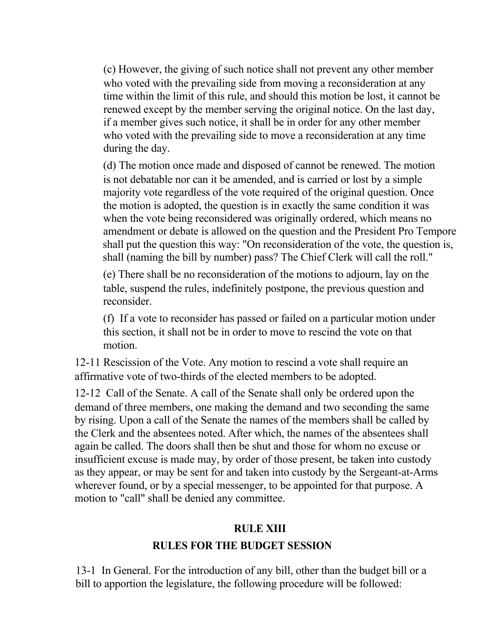(c) However, the giving of such notice shall not prevent any other member who voted with the prevailing side from moving a reconsideration at any time within the limit of this rule, and should this motion be lost, it cannot be renewed except by the member serving the original notice. On the last day, if a member gives such notice, it shall be in order for any other member who voted with the prevailing side to move a reconsideration at any time during the day.

(d) The motion once made and disposed of cannot be renewed. The motion is not debatable nor can it be amended, and is carried or lost by a simple majority vote regardless of the vote required of the original question. Once the motion is adopted, the question is in exactly the same condition it was when the vote being reconsidered was originally ordered, which means no amendment or debate is allowed on the question and the President Pro Tempore shall put the question this way: "On reconsideration of the vote, the question is, shall (naming the bill by number) pass? The Chief Clerk will call the roll."

(e) There shall be no reconsideration of the motions to adjourn, lay on the table, suspend the rules, indefinitely postpone, the previous question and reconsider.

(f) If a vote to reconsider has passed or failed on a particular motion under this section, it shall not be in order to move to rescind the vote on that motion.

12-11 Rescission of the Vote. Any motion to rescind a vote shall require an affirmative vote of two-thirds of the elected members to be adopted.

12-12 Call of the Senate. A call of the Senate shall only be ordered upon the demand of three members, one making the demand and two seconding the same by rising. Upon a call of the Senate the names of the members shall be called by the Clerk and the absentees noted. After which, the names of the absentees shall again be called. The doors shall then be shut and those for whom no excuse or insufficient excuse is made may, by order of those present, be taken into custody as they appear, or may be sent for and taken into custody by the Sergeant-at-Arms wherever found, or by a special messenger, to be appointed for that purpose. A motion to "call" shall be denied any committee.

#### **RULE XIII**

#### **RULES FOR THE BUDGET SESSION**

13-1 In General. For the introduction of any bill, other than the budget bill or a bill to apportion the legislature, the following procedure will be followed: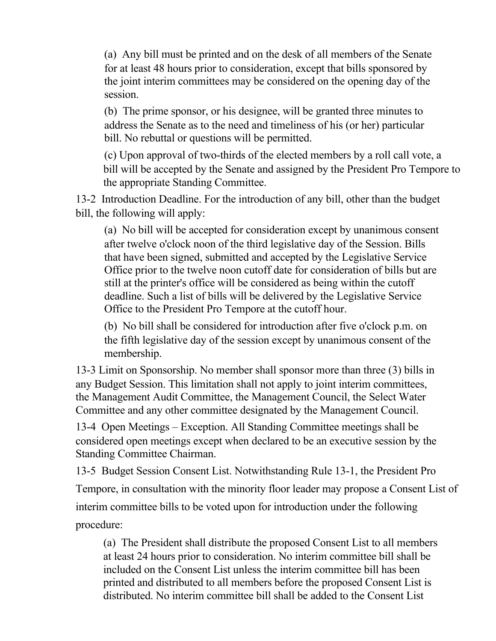(a) Any bill must be printed and on the desk of all members of the Senate for at least 48 hours prior to consideration, except that bills sponsored by the joint interim committees may be considered on the opening day of the session.

(b) The prime sponsor, or his designee, will be granted three minutes to address the Senate as to the need and timeliness of his (or her) particular bill. No rebuttal or questions will be permitted.

(c) Upon approval of two-thirds of the elected members by a roll call vote, a bill will be accepted by the Senate and assigned by the President Pro Tempore to the appropriate Standing Committee.

13-2 Introduction Deadline. For the introduction of any bill, other than the budget bill, the following will apply:

(a) No bill will be accepted for consideration except by unanimous consent after twelve o'clock noon of the third legislative day of the Session. Bills that have been signed, submitted and accepted by the Legislative Service Office prior to the twelve noon cutoff date for consideration of bills but are still at the printer's office will be considered as being within the cutoff deadline. Such a list of bills will be delivered by the Legislative Service Office to the President Pro Tempore at the cutoff hour.

(b) No bill shall be considered for introduction after five o'clock p.m. on the fifth legislative day of the session except by unanimous consent of the membership.

13-3 Limit on Sponsorship. No member shall sponsor more than three (3) bills in any Budget Session. This limitation shall not apply to joint interim committees, the Management Audit Committee, the Management Council, the Select Water Committee and any other committee designated by the Management Council.

13-4 Open Meetings – Exception. All Standing Committee meetings shall be considered open meetings except when declared to be an executive session by the Standing Committee Chairman.

13-5 Budget Session Consent List. Notwithstanding Rule 13-1, the President Pro Tempore, in consultation with the minority floor leader may propose a Consent List of interim committee bills to be voted upon for introduction under the following procedure:

(a) The President shall distribute the proposed Consent List to all members at least 24 hours prior to consideration. No interim committee bill shall be included on the Consent List unless the interim committee bill has been printed and distributed to all members before the proposed Consent List is distributed. No interim committee bill shall be added to the Consent List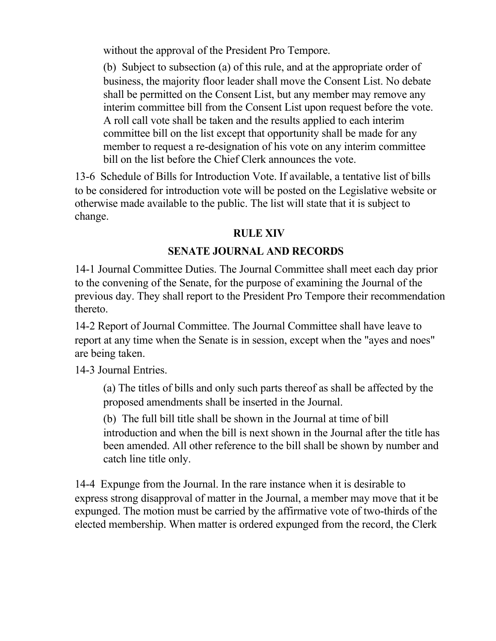without the approval of the President Pro Tempore.

(b) Subject to subsection (a) of this rule, and at the appropriate order of business, the majority floor leader shall move the Consent List. No debate shall be permitted on the Consent List, but any member may remove any interim committee bill from the Consent List upon request before the vote. A roll call vote shall be taken and the results applied to each interim committee bill on the list except that opportunity shall be made for any member to request a re-designation of his vote on any interim committee bill on the list before the Chief Clerk announces the vote.

13-6 Schedule of Bills for Introduction Vote. If available, a tentative list of bills to be considered for introduction vote will be posted on the Legislative website or otherwise made available to the public. The list will state that it is subject to change.

## **RULE XIV**

## **SENATE JOURNAL AND RECORDS**

14-1 Journal Committee Duties. The Journal Committee shall meet each day prior to the convening of the Senate, for the purpose of examining the Journal of the previous day. They shall report to the President Pro Tempore their recommendation thereto.

14-2 Report of Journal Committee. The Journal Committee shall have leave to report at any time when the Senate is in session, except when the "ayes and noes" are being taken.

14-3 Journal Entries.

(a) The titles of bills and only such parts thereof as shall be affected by the proposed amendments shall be inserted in the Journal.

(b) The full bill title shall be shown in the Journal at time of bill introduction and when the bill is next shown in the Journal after the title has been amended. All other reference to the bill shall be shown by number and catch line title only.

14-4 Expunge from the Journal. In the rare instance when it is desirable to express strong disapproval of matter in the Journal, a member may move that it be expunged. The motion must be carried by the affirmative vote of two-thirds of the elected membership. When matter is ordered expunged from the record, the Clerk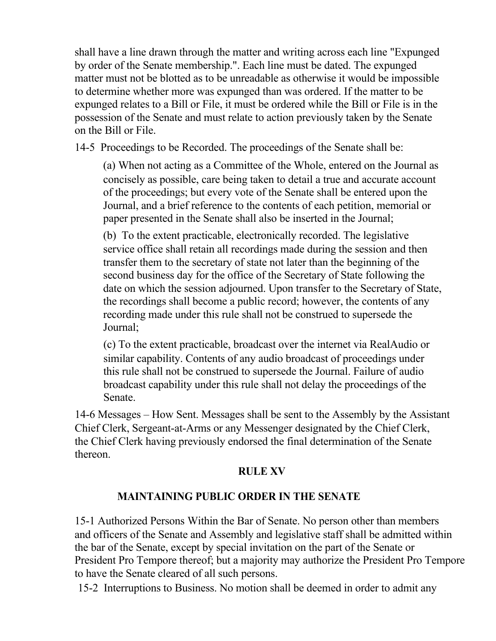shall have a line drawn through the matter and writing across each line "Expunged by order of the Senate membership.". Each line must be dated. The expunged matter must not be blotted as to be unreadable as otherwise it would be impossible to determine whether more was expunged than was ordered. If the matter to be expunged relates to a Bill or File, it must be ordered while the Bill or File is in the possession of the Senate and must relate to action previously taken by the Senate on the Bill or File.

14-5 Proceedings to be Recorded. The proceedings of the Senate shall be:

(a) When not acting as a Committee of the Whole, entered on the Journal as concisely as possible, care being taken to detail a true and accurate account of the proceedings; but every vote of the Senate shall be entered upon the Journal, and a brief reference to the contents of each petition, memorial or paper presented in the Senate shall also be inserted in the Journal;

(b) To the extent practicable, electronically recorded. The legislative service office shall retain all recordings made during the session and then transfer them to the secretary of state not later than the beginning of the second business day for the office of the Secretary of State following the date on which the session adjourned. Upon transfer to the Secretary of State, the recordings shall become a public record; however, the contents of any recording made under this rule shall not be construed to supersede the Journal;

(c) To the extent practicable, broadcast over the internet via RealAudio or similar capability. Contents of any audio broadcast of proceedings under this rule shall not be construed to supersede the Journal. Failure of audio broadcast capability under this rule shall not delay the proceedings of the Senate.

14-6 Messages – How Sent. Messages shall be sent to the Assembly by the Assistant Chief Clerk, Sergeant-at-Arms or any Messenger designated by the Chief Clerk, the Chief Clerk having previously endorsed the final determination of the Senate thereon.

## **RULE XV**

## **MAINTAINING PUBLIC ORDER IN THE SENATE**

15-1 Authorized Persons Within the Bar of Senate. No person other than members and officers of the Senate and Assembly and legislative staff shall be admitted within the bar of the Senate, except by special invitation on the part of the Senate or President Pro Tempore thereof; but a majority may authorize the President Pro Tempore to have the Senate cleared of all such persons.

15-2 Interruptions to Business. No motion shall be deemed in order to admit any